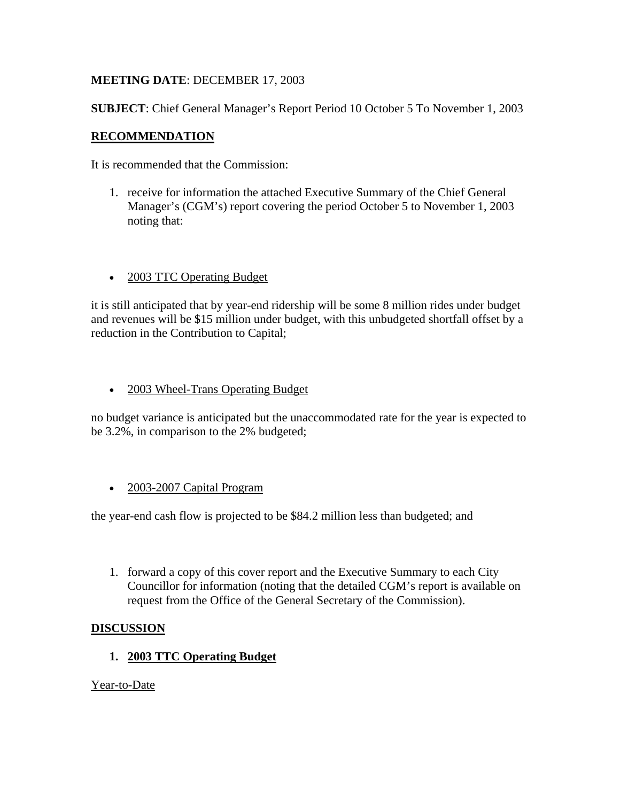## **MEETING DATE**: DECEMBER 17, 2003

**SUBJECT**: Chief General Manager's Report Period 10 October 5 To November 1, 2003

## **RECOMMENDATION**

It is recommended that the Commission:

- 1. receive for information the attached Executive Summary of the Chief General Manager's (CGM's) report covering the period October 5 to November 1, 2003 noting that:
- 2003 TTC Operating Budget

it is still anticipated that by year-end ridership will be some 8 million rides under budget and revenues will be \$15 million under budget, with this unbudgeted shortfall offset by a reduction in the Contribution to Capital;

• 2003 Wheel-Trans Operating Budget

no budget variance is anticipated but the unaccommodated rate for the year is expected to be 3.2%, in comparison to the 2% budgeted;

• 2003-2007 Capital Program

the year-end cash flow is projected to be \$84.2 million less than budgeted; and

1. forward a copy of this cover report and the Executive Summary to each City Councillor for information (noting that the detailed CGM's report is available on request from the Office of the General Secretary of the Commission).

### **DISCUSSION**

**1. 2003 TTC Operating Budget** 

Year-to-Date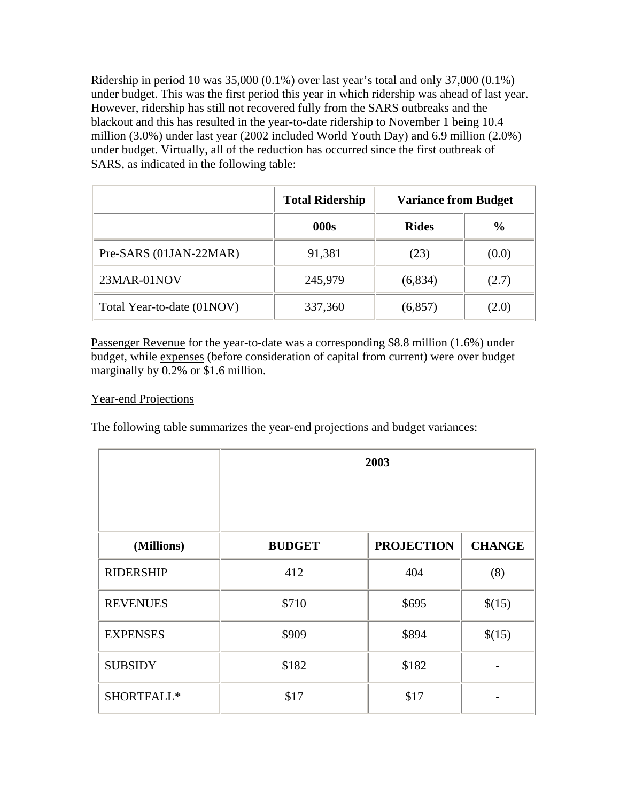Ridership in period 10 was 35,000 (0.1%) over last year's total and only 37,000 (0.1%) under budget. This was the first period this year in which ridership was ahead of last year. However, ridership has still not recovered fully from the SARS outbreaks and the blackout and this has resulted in the year-to-date ridership to November 1 being 10.4 million (3.0%) under last year (2002 included World Youth Day) and 6.9 million (2.0%) under budget. Virtually, all of the reduction has occurred since the first outbreak of SARS, as indicated in the following table:

|                            | <b>Total Ridership</b> | <b>Variance from Budget</b> |               |
|----------------------------|------------------------|-----------------------------|---------------|
|                            | 000s                   | <b>Rides</b>                | $\frac{0}{0}$ |
| Pre-SARS (01JAN-22MAR)     | 91,381                 | (23)                        | (0.0)         |
| 23MAR-01NOV                | 245,979                | (6,834)                     | (2.7)         |
| Total Year-to-date (01NOV) | 337,360                | (6, 857)                    | (2.0)         |

Passenger Revenue for the year-to-date was a corresponding \$8.8 million (1.6%) under budget, while expenses (before consideration of capital from current) were over budget marginally by 0.2% or \$1.6 million.

# Year-end Projections

The following table summarizes the year-end projections and budget variances:

|                  | 2003          |                   |               |
|------------------|---------------|-------------------|---------------|
| (Millions)       | <b>BUDGET</b> | <b>PROJECTION</b> | <b>CHANGE</b> |
| <b>RIDERSHIP</b> | 412           | 404               | (8)           |
| <b>REVENUES</b>  | \$710         | \$695             | \$(15)        |
| <b>EXPENSES</b>  | \$909         | \$894             | \$(15)        |
| <b>SUBSIDY</b>   | \$182         | \$182             |               |
| SHORTFALL*       | \$17          | \$17              |               |